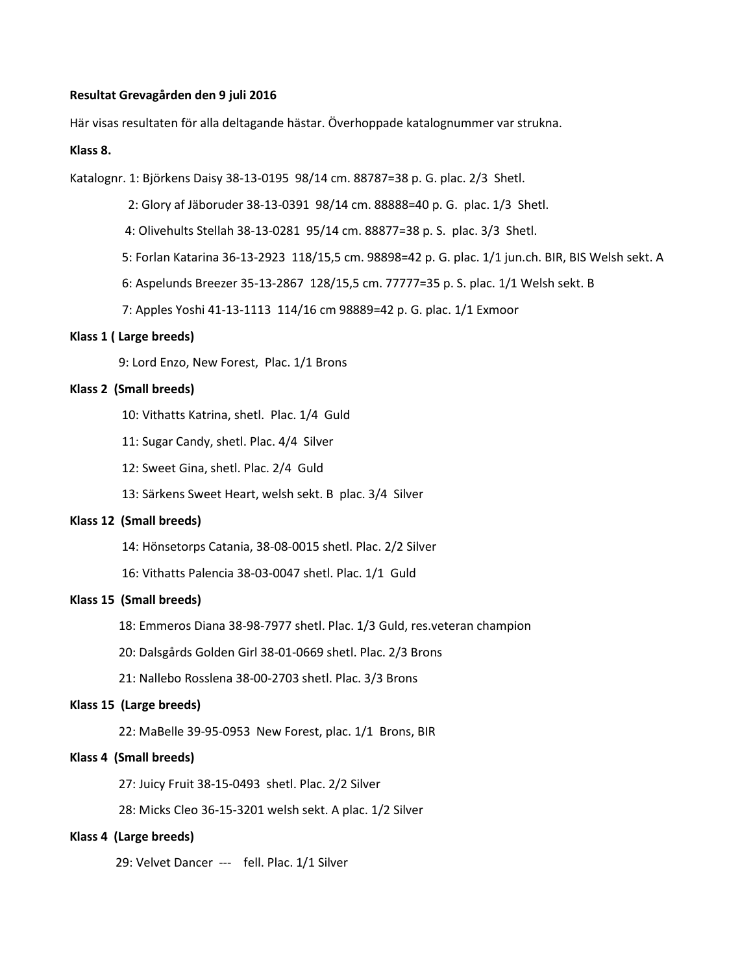#### **Resultat Grevagården den 9 juli 2016**

Här visas resultaten för alla deltagande hästar. Överhoppade katalognummer var strukna.

### **Klass 8.**

Katalognr. 1: Björkens Daisy 38-13-0195 98/14 cm. 88787=38 p. G. plac. 2/3 Shetl.

2: Glory af Jäboruder 38-13-0391 98/14 cm. 88888=40 p. G. plac. 1/3 Shetl.

- 4: Olivehults Stellah 38-13-0281 95/14 cm. 88877=38 p. S. plac. 3/3 Shetl.
- 5: Forlan Katarina 36-13-2923 118/15,5 cm. 98898=42 p. G. plac. 1/1 jun.ch. BIR, BIS Welsh sekt. A
- 6: Aspelunds Breezer 35-13-2867 128/15,5 cm. 77777=35 p. S. plac. 1/1 Welsh sekt. B
- 7: Apples Yoshi 41-13-1113 114/16 cm 98889=42 p. G. plac. 1/1 Exmoor

### **Klass 1 ( Large breeds)**

9: Lord Enzo, New Forest, Plac. 1/1 Brons

#### **Klass 2 (Small breeds)**

- 10: Vithatts Katrina, shetl. Plac. 1/4 Guld
- 11: Sugar Candy, shetl. Plac. 4/4 Silver
- 12: Sweet Gina, shetl. Plac. 2/4 Guld
- 13: Särkens Sweet Heart, welsh sekt. B plac. 3/4 Silver

#### **Klass 12 (Small breeds)**

- 14: Hönsetorps Catania, 38-08-0015 shetl. Plac. 2/2 Silver
- 16: Vithatts Palencia 38-03-0047 shetl. Plac. 1/1 Guld

#### **Klass 15 (Small breeds)**

- 18: Emmeros Diana 38-98-7977 shetl. Plac. 1/3 Guld, res.veteran champion
- 20: Dalsgårds Golden Girl 38-01-0669 shetl. Plac. 2/3 Brons
- 21: Nallebo Rosslena 38-00-2703 shetl. Plac. 3/3 Brons

### **Klass 15 (Large breeds)**

22: MaBelle 39-95-0953 New Forest, plac. 1/1 Brons, BIR

# **Klass 4 (Small breeds)**

- 27: Juicy Fruit 38-15-0493 shetl. Plac. 2/2 Silver
- 28: Micks Cleo 36-15-3201 welsh sekt. A plac. 1/2 Silver

#### **Klass 4 (Large breeds)**

29: Velvet Dancer --- fell. Plac. 1/1 Silver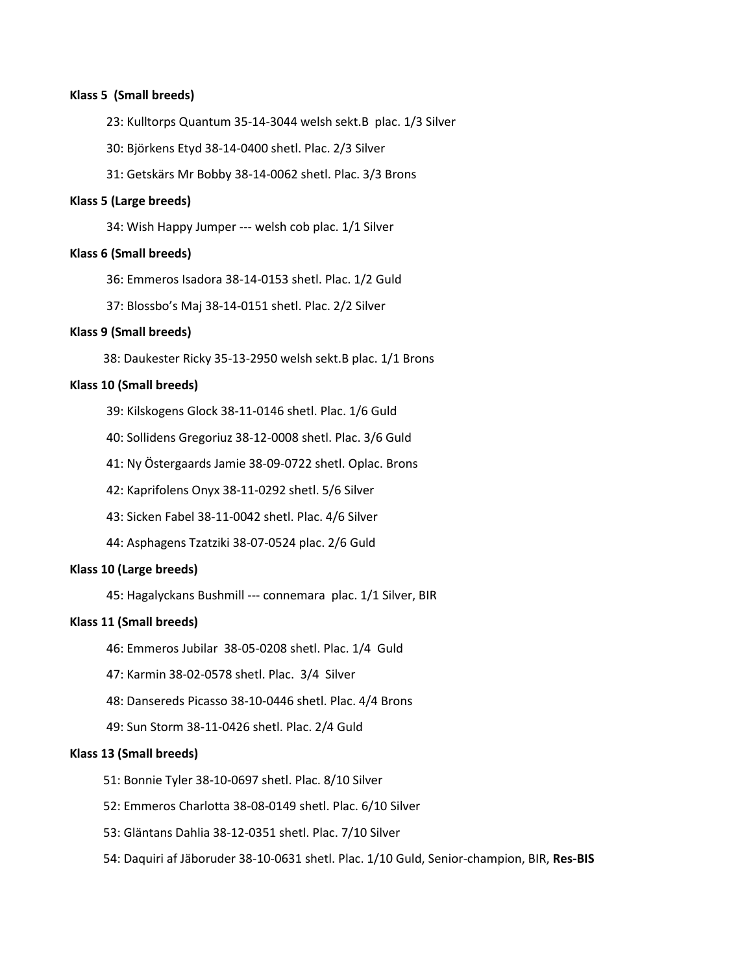## **Klass 5 (Small breeds)**

23: Kulltorps Quantum 35-14-3044 welsh sekt.B plac. 1/3 Silver

30: Björkens Etyd 38-14-0400 shetl. Plac. 2/3 Silver

31: Getskärs Mr Bobby 38-14-0062 shetl. Plac. 3/3 Brons

#### **Klass 5 (Large breeds)**

34: Wish Happy Jumper --- welsh cob plac. 1/1 Silver

#### **Klass 6 (Small breeds)**

36: Emmeros Isadora 38-14-0153 shetl. Plac. 1/2 Guld

37: Blossbo's Maj 38-14-0151 shetl. Plac. 2/2 Silver

#### **Klass 9 (Small breeds)**

38: Daukester Ricky 35-13-2950 welsh sekt.B plac. 1/1 Brons

## **Klass 10 (Small breeds)**

39: Kilskogens Glock 38-11-0146 shetl. Plac. 1/6 Guld

40: Sollidens Gregoriuz 38-12-0008 shetl. Plac. 3/6 Guld

41: Ny Östergaards Jamie 38-09-0722 shetl. Oplac. Brons

42: Kaprifolens Onyx 38-11-0292 shetl. 5/6 Silver

43: Sicken Fabel 38-11-0042 shetl. Plac. 4/6 Silver

44: Asphagens Tzatziki 38-07-0524 plac. 2/6 Guld

## **Klass 10 (Large breeds)**

45: Hagalyckans Bushmill --- connemara plac. 1/1 Silver, BIR

#### **Klass 11 (Small breeds)**

46: Emmeros Jubilar 38-05-0208 shetl. Plac. 1/4 Guld

47: Karmin 38-02-0578 shetl. Plac. 3/4 Silver

48: Dansereds Picasso 38-10-0446 shetl. Plac. 4/4 Brons

49: Sun Storm 38-11-0426 shetl. Plac. 2/4 Guld

### **Klass 13 (Small breeds)**

- 51: Bonnie Tyler 38-10-0697 shetl. Plac. 8/10 Silver
- 52: Emmeros Charlotta 38-08-0149 shetl. Plac. 6/10 Silver
- 53: Gläntans Dahlia 38-12-0351 shetl. Plac. 7/10 Silver
- 54: Daquiri af Jäboruder 38-10-0631 shetl. Plac. 1/10 Guld, Senior-champion, BIR, **Res-BIS**